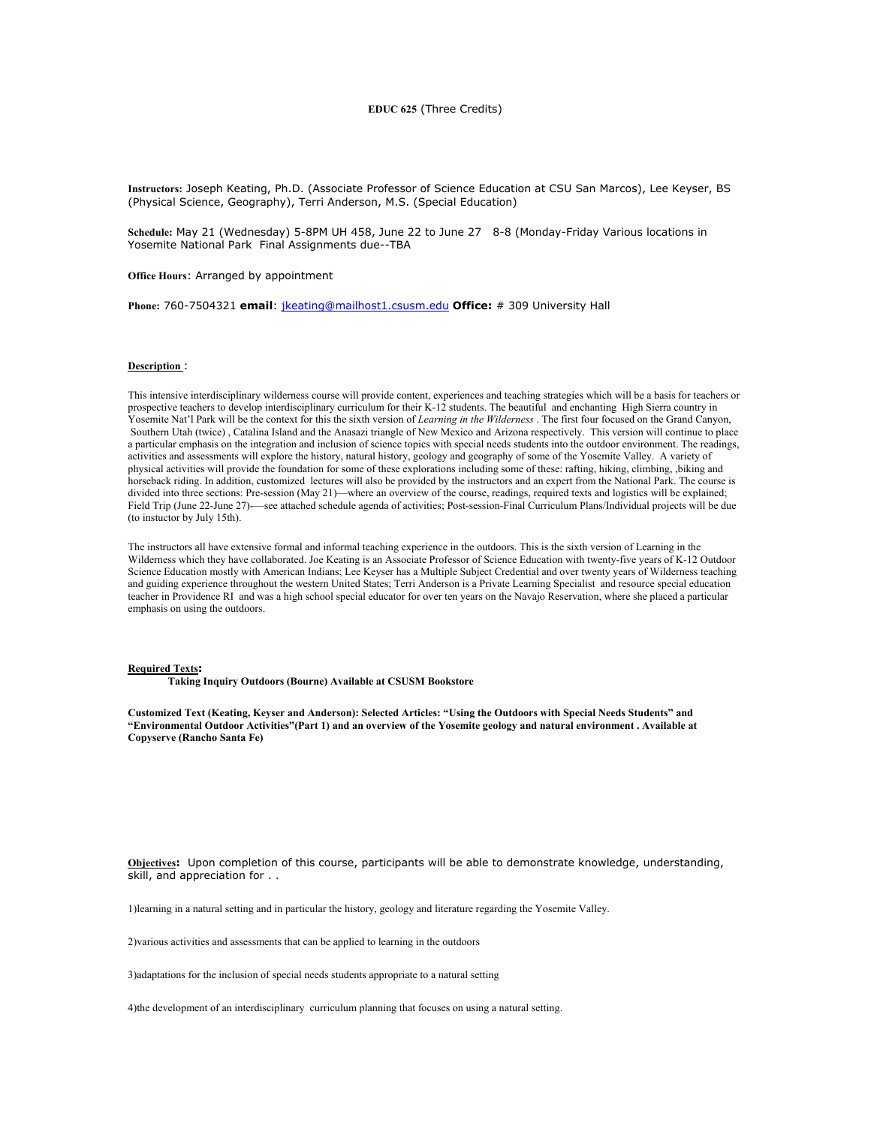# **EDUC 625** (Three Credits)

**Instructors:** Joseph Keating, Ph.D. (Associate Professor of Science Education at CSU San Marcos), Lee Keyser, BS (Physical Science, Geography), Terri Anderson, M.S. (Special Education)

**Schedule:** May 21 (Wednesday) 5-8PM UH 458, June 22 to June 27 8-8 (Monday-Friday Various locations in Yosemite National Park Final Assignments due--TBA

**Office Hours**: Arranged by appointment

**Phone:** 760-7504321 **email**: jkeating@mailhost1.csusm.edu **Office:** # 309 University Hall

### **Description** :

This intensive interdisciplinary wilderness course will provide content, experiences and teaching strategies which will be a basis for teachers or prospective teachers to develop interdisciplinary curriculum for their K-12 students. The beautiful and enchanting High Sierra country in Yosemite Nat'l Park will be the context for this the sixth version of *Learning in the Wilderness* . The first four focused on the Grand Canyon, Southern Utah (twice) , Catalina Island and the Anasazi triangle of New Mexico and Arizona respectively. This version will continue to place a particular emphasis on the integration and inclusion of science topics with special needs students into the outdoor environment. The readings, activities and assessments will explore the history, natural history, geology and geography of some of the Yosemite Valley. A variety of physical activities will provide the foundation for some of these explorations including some of these: rafting, hiking, climbing, ,biking and horseback riding. In addition, customized lectures will also be provided by the instructors and an expert from the National Park. The course is divided into three sections: Pre-session (May 21)—where an overview of the course, readings, required texts and logistics will be explained; Field Trip (June 22-June 27)-—see attached schedule agenda of activities; Post-session-Final Curriculum Plans/Individual projects will be due (to instuctor by July 15th).

The instructors all have extensive formal and informal teaching experience in the outdoors. This is the sixth version of Learning in the Wilderness which they have collaborated. Joe Keating is an Associate Professor of Science Education with twenty-five years of K-12 Outdoor Science Education mostly with American Indians; Lee Keyser has a Multiple Subject Credential and over twenty years of Wilderness teaching and guiding experience throughout the western United States; Terri Anderson is a Private Learning Specialist and resource special education teacher in Providence RI and was a high school special educator for over ten years on the Navajo Reservation, where she placed a particular emphasis on using the outdoors.

#### **Required Texts:**

 **Taking Inquiry Outdoors (Bourne) Available at CSUSM Bookstore**

**Customized Text (Keating, Keyser and Anderson): Selected Articles: "Using the Outdoors with Special Needs Students" and "Environmental Outdoor Activities"(Part 1) and an overview of the Yosemite geology and natural environment . Available at Copyserve (Rancho Santa Fe)** 

**Objectives:** Upon completion of this course, participants will be able to demonstrate knowledge, understanding, skill, and appreciation for . .

1)learning in a natural setting and in particular the history, geology and literature regarding the Yosemite Valley.

2)various activities and assessments that can be applied to learning in the outdoors

3)adaptations for the inclusion of special needs students appropriate to a natural setting

4)the development of an interdisciplinary curriculum planning that focuses on using a natural setting.